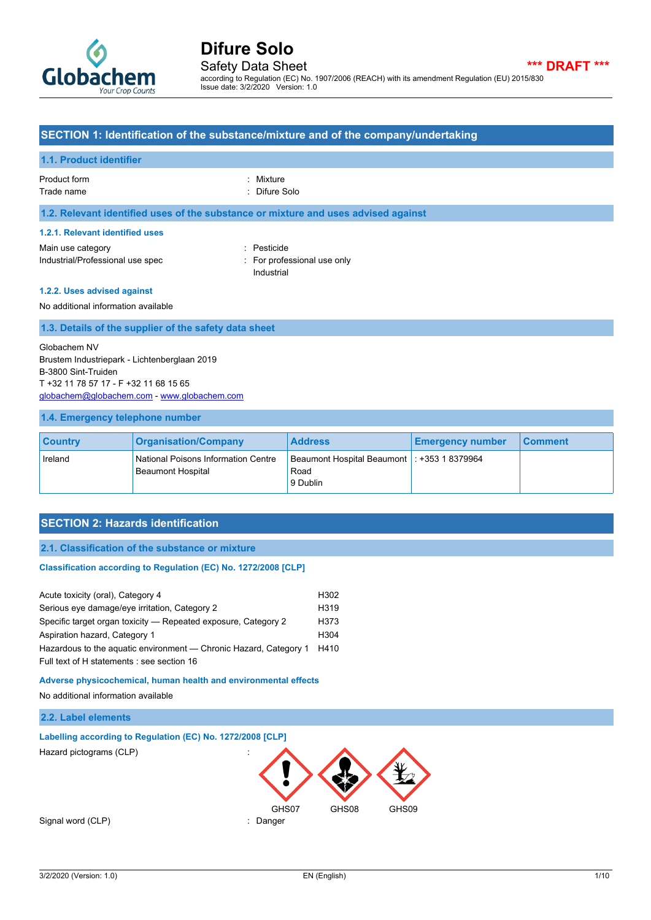

Safety Data Sheet **\*\*\* DRAFT \*\*\*** according to Regulation (EC) No. 1907/2006 (REACH) with its amendment Regulation (EU) 2015/830 Issue date: 3/2/2020 Version: 1.0

#### **SECTION 1: Identification of the substance/mixture and of the company/undertaking**

#### **1.1. Product identifier**

Product form : Nixture : Mixture Trade name : Trade name : Difure Solo

#### **1.2. Relevant identified uses of the substance or mixture and uses advised against**

#### **1.2.1. Relevant identified uses**

Main use category **in the set of the COV** and the Pesticide in the Pesticide Industrial/Professional use spec : For professional use only

Industrial

#### **1.2.2. Uses advised against**

No additional information available

#### **1.3. Details of the supplier of the safety data sheet**

Globachem NV Brustem Industriepark - Lichtenberglaan 2019 B-3800 Sint-Truiden T +32 11 78 57 17 - F +32 11 68 15 65 [globachem@globachem.com](mailto:globachem@globachem.com) - <www.globachem.com>

#### **1.4. Emergency telephone number**

| <b>Country</b> | <b>Organisation/Company</b>                                     | <b>Address</b>                                                    | <b>Emergency number</b> | <b>Comment</b> |
|----------------|-----------------------------------------------------------------|-------------------------------------------------------------------|-------------------------|----------------|
| Ireland        | National Poisons Information Centre<br><b>Beaumont Hospital</b> | Beaumont Hospital Beaumont   : +353 1 8379964<br>Road<br>9 Dublin |                         |                |

#### **SECTION 2: Hazards identification**

#### **2.1. Classification of the substance or mixture**

#### Classification according to Regulation (EC) No. 1272/2008 [CLP]

| Acute toxicity (oral), Category 4                                 | H <sub>302</sub>  |
|-------------------------------------------------------------------|-------------------|
| Serious eye damage/eye irritation, Category 2                     | H <sub>319</sub>  |
| Specific target organ toxicity — Repeated exposure, Category 2    | H <sub>3</sub> 73 |
| Aspiration hazard, Category 1                                     | H <sub>304</sub>  |
| Hazardous to the aguatic environment — Chronic Hazard, Category 1 | H410              |
| Full text of H statements : see section 16                        |                   |

#### **Adverse physicochemical, human health and environmental effects**

No additional information available

## **2.2. Label elements**

### **Labelling according to Regulation (EC) No. 1272/2008 [CLP]**

Hazard pictograms (CLP) :

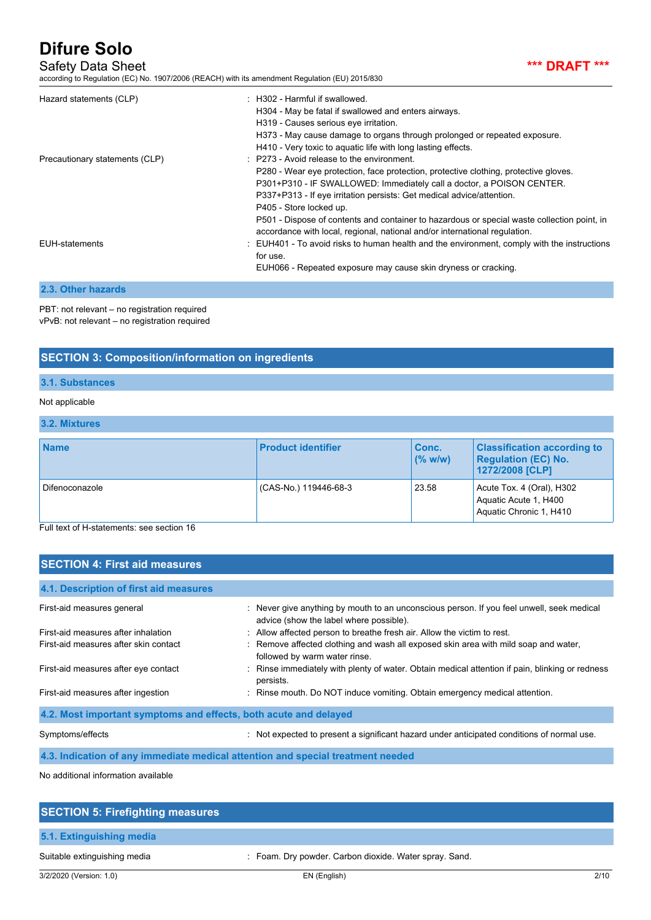### Safety Data Sheet **\*\*\* DRAFT \*\*\***

according to Regulation (EC) No. 1907/2006 (REACH) with its amendment Regulation (EU) 2015/830



| Hazard statements (CLP)        | : H302 - Harmful if swallowed.<br>H304 - May be fatal if swallowed and enters airways.<br>H319 - Causes serious eye irritation.                                                                                                                                                                                                                        |
|--------------------------------|--------------------------------------------------------------------------------------------------------------------------------------------------------------------------------------------------------------------------------------------------------------------------------------------------------------------------------------------------------|
|                                | H373 - May cause damage to organs through prolonged or repeated exposure.<br>H410 - Very toxic to aquatic life with long lasting effects.                                                                                                                                                                                                              |
| Precautionary statements (CLP) | $\therefore$ P273 - Avoid release to the environment.<br>P280 - Wear eye protection, face protection, protective clothing, protective gloves.<br>P301+P310 - IF SWALLOWED: Immediately call a doctor, a POISON CENTER.<br>P337+P313 - If eye irritation persists: Get medical advice/attention.<br>P405 - Store locked up.                             |
| EUH-statements                 | P501 - Dispose of contents and container to hazardous or special waste collection point, in<br>accordance with local, regional, national and/or international regulation.<br>: EUH401 - To avoid risks to human health and the environment, comply with the instructions<br>for use.<br>EUH066 - Repeated exposure may cause skin dryness or cracking. |

### **2.3. Other hazards**

PBT: not relevant – no registration required vPvB: not relevant – no registration required

# **SECTION 3: Composition/information on ingredients**

### **3.1. Substances**

### Not applicable

### **3.2. Mixtures**

| <b>Name</b>                                                                                | <b>Product identifier</b> | Conc.<br>$($ % w/w) | <b>Classification according to</b><br><b>Regulation (EC) No.</b><br>1272/2008 [CLP] |
|--------------------------------------------------------------------------------------------|---------------------------|---------------------|-------------------------------------------------------------------------------------|
| Difenoconazole<br>$\Box$ . It is a contract that is a contracted as a contracted $\Lambda$ | (CAS-No.) 119446-68-3     | 23.58               | Acute Tox. 4 (Oral), H302<br>Aquatic Acute 1, H400<br>Aquatic Chronic 1, H410       |

Full text of H-statements: see section 16

| <b>SECTION 4: First aid measures</b>                             |                                                                                                                                      |  |  |  |  |
|------------------------------------------------------------------|--------------------------------------------------------------------------------------------------------------------------------------|--|--|--|--|
| 4.1. Description of first aid measures                           |                                                                                                                                      |  |  |  |  |
| First-aid measures general                                       | : Never give anything by mouth to an unconscious person. If you feel unwell, seek medical<br>advice (show the label where possible). |  |  |  |  |
| First-aid measures after inhalation                              | : Allow affected person to breathe fresh air. Allow the victim to rest.                                                              |  |  |  |  |
| First-aid measures after skin contact                            | : Remove affected clothing and wash all exposed skin area with mild soap and water,<br>followed by warm water rinse.                 |  |  |  |  |
| First-aid measures after eye contact                             | : Rinse immediately with plenty of water. Obtain medical attention if pain, blinking or redness<br>persists.                         |  |  |  |  |
| First-aid measures after ingestion                               | : Rinse mouth. Do NOT induce vomiting. Obtain emergency medical attention.                                                           |  |  |  |  |
| 4.2. Most important symptoms and effects, both acute and delayed |                                                                                                                                      |  |  |  |  |
| Symptoms/effects                                                 | Not expected to present a significant hazard under anticipated conditions of normal use.                                             |  |  |  |  |
|                                                                  |                                                                                                                                      |  |  |  |  |

**4.3. Indication of any immediate medical attention and special treatment needed**

No additional information available

| <b>SECTION 5: Firefighting measures</b> |                                                        |
|-----------------------------------------|--------------------------------------------------------|
| 5.1. Extinguishing media                |                                                        |
| Suitable extinguishing media            | : Foam. Dry powder. Carbon dioxide. Water spray. Sand. |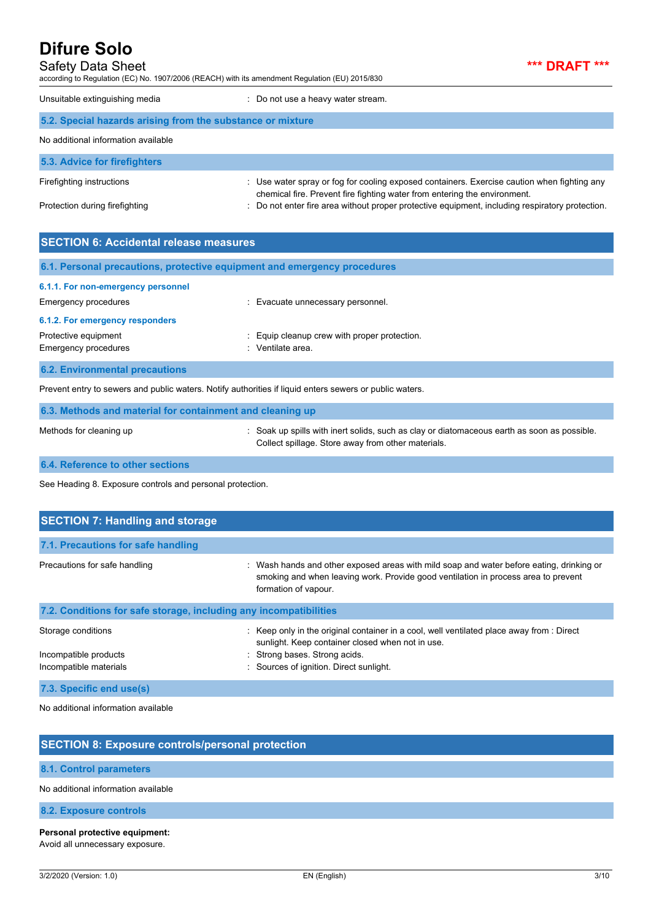| <b>Safety Data Sheet</b> |  |  |  |  |
|--------------------------|--|--|--|--|
|                          |  |  |  |  |

according to Regulation (EC) No. 1907/2006 (REACH) with its amendment Regulation (EU) 2015/830

\*\*\* **DRAFT** \*\*\*

|  | Unsuitable extinguishing media |  |
|--|--------------------------------|--|
|--|--------------------------------|--|

: Do not use a heavy water stream.

| 5.2. Special hazards arising from the substance or mixture |                                                                                                                                                                          |  |
|------------------------------------------------------------|--------------------------------------------------------------------------------------------------------------------------------------------------------------------------|--|
| No additional information available                        |                                                                                                                                                                          |  |
| 5.3. Advice for firefighters                               |                                                                                                                                                                          |  |
| Firefighting instructions                                  | : Use water spray or fog for cooling exposed containers. Exercise caution when fighting any<br>chemical fire. Prevent fire fighting water from entering the environment. |  |
| Protection during firefighting                             | : Do not enter fire area without proper protective equipment, including respiratory protection.                                                                          |  |

| <b>SECTION 6: Accidental release measures</b>                                   |                                                                          |  |
|---------------------------------------------------------------------------------|--------------------------------------------------------------------------|--|
|                                                                                 | 6.1. Personal precautions, protective equipment and emergency procedures |  |
| 6.1.1. For non-emergency personnel<br>Emergency procedures                      | : Evacuate unnecessary personnel.                                        |  |
| 6.1.2. For emergency responders<br>Protective equipment<br>Emergency procedures | Equip cleanup crew with proper protection.<br>: Ventilate area.          |  |
| <b>6.2. Environmental precautions</b>                                           |                                                                          |  |

Prevent entry to sewers and public waters. Notify authorities if liquid enters sewers or public waters.

| 6.3. Methods and material for containment and cleaning up |                                                                                                                                                   |  |
|-----------------------------------------------------------|---------------------------------------------------------------------------------------------------------------------------------------------------|--|
| Methods for cleaning up                                   | : Soak up spills with inert solids, such as clay or diatomaceous earth as soon as possible.<br>Collect spillage. Store away from other materials. |  |

**6.4. Reference to other sections**

See Heading 8. Exposure controls and personal protection.

| <b>SECTION 7: Handling and storage</b>                            |                                                                                                                                                                                                        |  |  |  |
|-------------------------------------------------------------------|--------------------------------------------------------------------------------------------------------------------------------------------------------------------------------------------------------|--|--|--|
| 7.1. Precautions for safe handling                                |                                                                                                                                                                                                        |  |  |  |
| Precautions for safe handling                                     | : Wash hands and other exposed areas with mild soap and water before eating, drinking or<br>smoking and when leaving work. Provide good ventilation in process area to prevent<br>formation of vapour. |  |  |  |
| 7.2. Conditions for safe storage, including any incompatibilities |                                                                                                                                                                                                        |  |  |  |
| Storage conditions                                                | : Keep only in the original container in a cool, well ventilated place away from : Direct<br>sunlight. Keep container closed when not in use.                                                          |  |  |  |
| Incompatible products                                             | : Strong bases. Strong acids.                                                                                                                                                                          |  |  |  |
| Incompatible materials                                            | : Sources of ignition. Direct sunlight.                                                                                                                                                                |  |  |  |
| 7.3. Specific end use(s)                                          |                                                                                                                                                                                                        |  |  |  |

No additional information available

# **SECTION 8: Exposure controls/personal protection 8.1. Control parameters** No additional information available **8.2. Exposure controls**

#### **Personal protective equipment:**

Avoid all unnecessary exposure.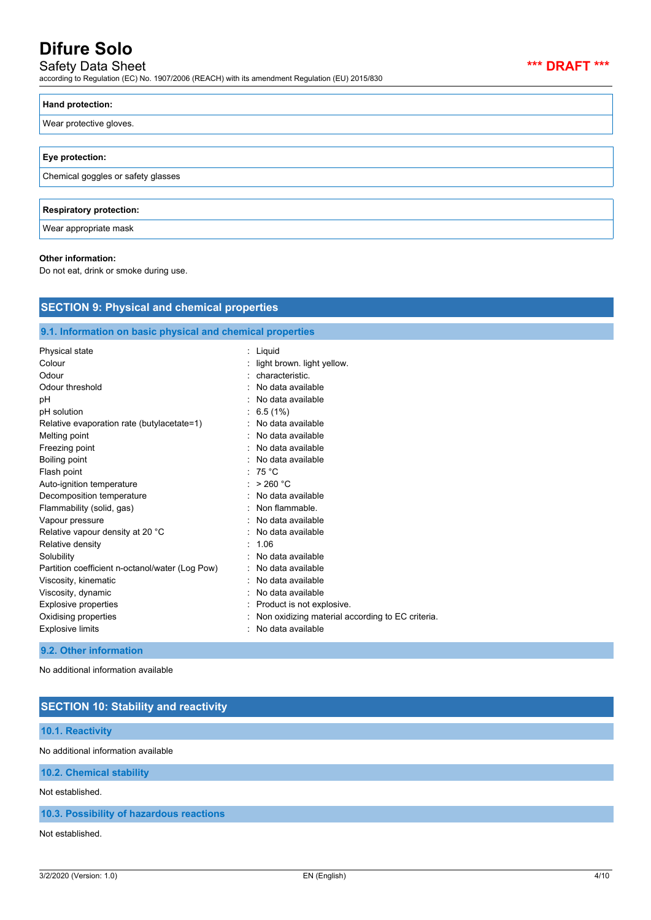# Safety Data Sheet **\*\*\* DRAFT \*\*\***

according to Regulation (EC) No. 1907/2006 (REACH) with its amendment Regulation (EU) 2015/830

| Hand protection:                   |
|------------------------------------|
| Wear protective gloves.            |
|                                    |
| Eye protection:                    |
| Chemical goggles or safety glasses |
|                                    |
| <b>Respiratory protection:</b>     |
| Wear appropriate mask              |

#### **Other information:**

Do not eat, drink or smoke during use.

| <b>SECTION 9: Physical and chemical properties</b>         |                                                  |  |  |
|------------------------------------------------------------|--------------------------------------------------|--|--|
| 9.1. Information on basic physical and chemical properties |                                                  |  |  |
| Physical state                                             | Liquid                                           |  |  |
| Colour                                                     | light brown. light yellow.                       |  |  |
| Odour                                                      | characteristic.                                  |  |  |
| Odour threshold                                            | No data available                                |  |  |
| pH                                                         | No data available                                |  |  |
| pH solution                                                | 6.5(1%)                                          |  |  |
| Relative evaporation rate (butylacetate=1)                 | No data available                                |  |  |
| Melting point                                              | No data available                                |  |  |
| Freezing point                                             | No data available                                |  |  |
| Boiling point                                              | No data available                                |  |  |
| Flash point                                                | 75 °C                                            |  |  |
| Auto-ignition temperature                                  | > 260 °C                                         |  |  |
| Decomposition temperature                                  | No data available                                |  |  |
| Flammability (solid, gas)                                  | Non flammable.                                   |  |  |
| Vapour pressure                                            | No data available                                |  |  |
| Relative vapour density at 20 °C                           | No data available                                |  |  |
| Relative density                                           | 1.06                                             |  |  |
| Solubility                                                 | No data available                                |  |  |
| Partition coefficient n-octanol/water (Log Pow)            | No data available                                |  |  |
| Viscosity, kinematic                                       | No data available                                |  |  |
| Viscosity, dynamic                                         | No data available                                |  |  |
| <b>Explosive properties</b>                                | Product is not explosive.                        |  |  |
| Oxidising properties                                       | Non oxidizing material according to EC criteria. |  |  |
| <b>Explosive limits</b>                                    | No data available                                |  |  |

No additional information available

## **SECTION 10: Stability and reactivity**

#### **10.1. Reactivity**

No additional information available

#### **10.2. Chemical stability**

Not established.

### **10.3. Possibility of hazardous reactions**

Not established.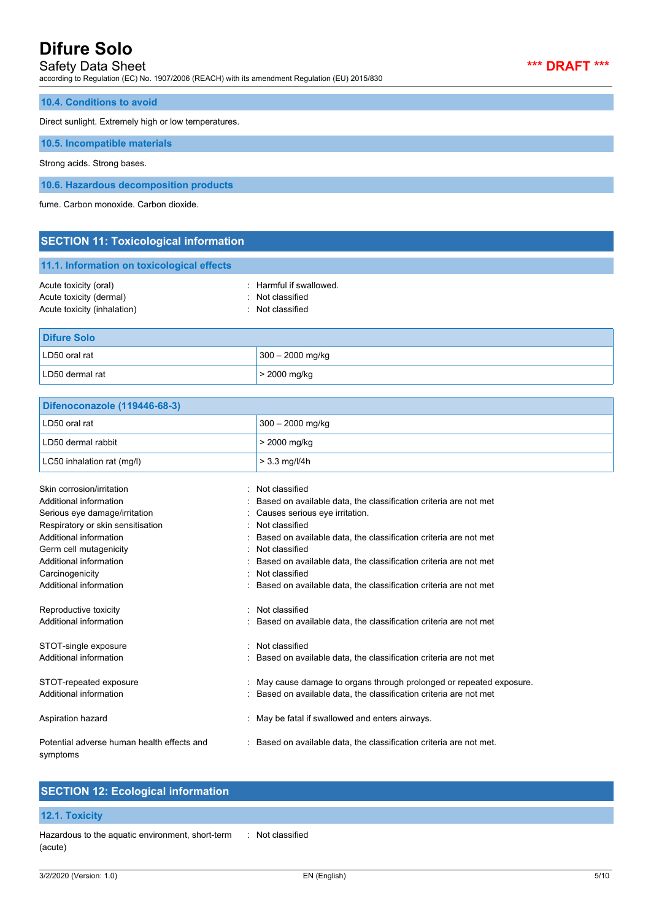### Safety Data Sheet **\*\*\* DRAFT \*\*\***

according to Regulation (EC) No. 1907/2006 (REACH) with its amendment Regulation (EU) 2015/830



**10.4. Conditions to avoid**

Direct sunlight. Extremely high or low temperatures.

**10.5. Incompatible materials**

Strong acids. Strong bases.

**10.6. Hazardous decomposition products**

fume. Carbon monoxide. Carbon dioxide.

|  |  | <b>SECTION 11: Toxicological information</b> |
|--|--|----------------------------------------------|

| 11.1. Information on toxicological effects |  |  |
|--------------------------------------------|--|--|
|                                            |  |  |

| Acute toxicity (oral)       | $\therefore$ Harmful if swallowed. |
|-----------------------------|------------------------------------|
| Acute toxicity (dermal)     | : Not classified                   |
| Acute toxicity (inhalation) | : Not classified                   |

| <b>Difure Solo</b> |                    |  |
|--------------------|--------------------|--|
| LD50 oral rat      | $300 - 2000$ mg/kg |  |
| LD50 dermal rat    | $>$ 2000 mg/kg     |  |

| Difenoconazole (119446-68-3) |                    |
|------------------------------|--------------------|
| LD50 oral rat                | $300 - 2000$ mg/kg |
| LD50 dermal rabbit           | $>$ 2000 mg/kg     |
| LC50 inhalation rat (mg/l)   | $> 3.3$ mg/l/4h    |
| Skin corrosion/irritation    | Not classified     |

| ƏNILL CÜLLÜSIÜLINI HIJAHULL                            | . TNUL CIASSITIEU                                                    |
|--------------------------------------------------------|----------------------------------------------------------------------|
| Additional information                                 | : Based on available data, the classification criteria are not met   |
| Serious eye damage/irritation                          | : Causes serious eye irritation.                                     |
| Respiratory or skin sensitisation                      | : Not classified                                                     |
| Additional information                                 | : Based on available data, the classification criteria are not met   |
| Germ cell mutagenicity                                 | : Not classified                                                     |
| Additional information                                 | : Based on available data, the classification criteria are not met   |
| Carcinogenicity                                        | : Not classified                                                     |
| Additional information                                 | : Based on available data, the classification criteria are not met   |
| Reproductive toxicity                                  | : Not classified                                                     |
| Additional information                                 | : Based on available data, the classification criteria are not met   |
| STOT-single exposure                                   | : Not classified                                                     |
| Additional information                                 | : Based on available data, the classification criteria are not met   |
| STOT-repeated exposure                                 | : May cause damage to organs through prolonged or repeated exposure. |
| Additional information                                 | : Based on available data, the classification criteria are not met   |
| Aspiration hazard                                      | : May be fatal if swallowed and enters airways.                      |
| Potential adverse human health effects and<br>symptoms | : Based on available data, the classification criteria are not met.  |

### **SECTION 12: Ecological information**

#### **12.1. Toxicity**

Hazardous to the aquatic environment, short-term (acute) : Not classified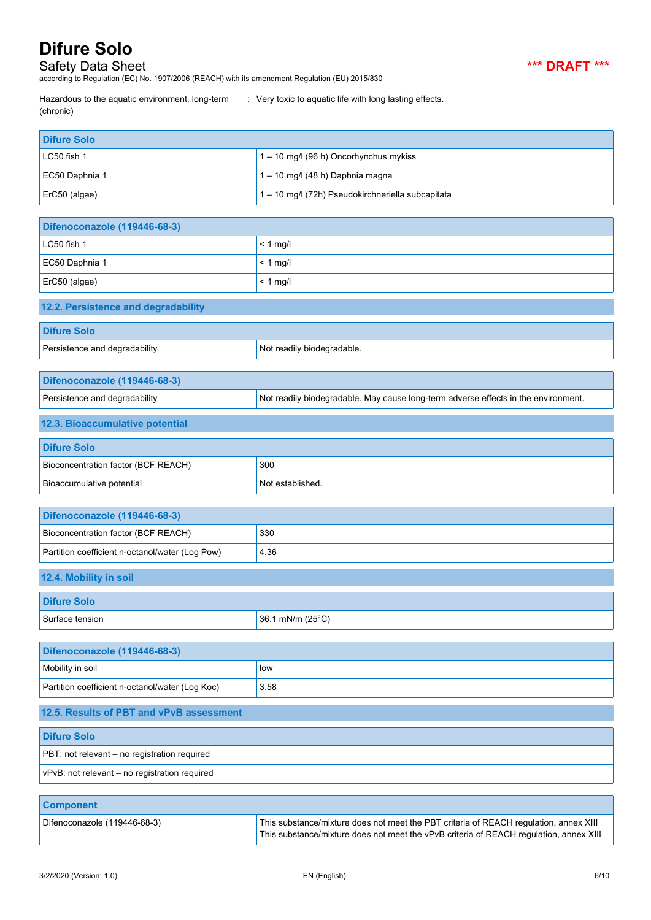Safety Data Sheet **\*\*\* DRAFT \*\*\***

according to Regulation (EC) No. 1907/2006 (REACH) with its amendment Regulation (EU) 2015/830

Hazardous to the aquatic environment, long-term (chronic)

: Very toxic to aquatic life with long lasting effects.

| <b>Difure Solo</b>                                            |                                                                                                                                                                                 |  |  |
|---------------------------------------------------------------|---------------------------------------------------------------------------------------------------------------------------------------------------------------------------------|--|--|
| LC50 fish 1                                                   | 1 - 10 mg/l (96 h) Oncorhynchus mykiss                                                                                                                                          |  |  |
| EC50 Daphnia 1                                                | 1-10 mg/l (48 h) Daphnia magna                                                                                                                                                  |  |  |
| ErC50 (algae)                                                 | 1 - 10 mg/l (72h) Pseudokirchneriella subcapitata                                                                                                                               |  |  |
|                                                               |                                                                                                                                                                                 |  |  |
| Difenoconazole (119446-68-3)                                  |                                                                                                                                                                                 |  |  |
| LC50 fish 1                                                   | $< 1$ mg/l                                                                                                                                                                      |  |  |
| EC50 Daphnia 1                                                | $< 1$ mg/l                                                                                                                                                                      |  |  |
| ErC50 (algae)                                                 | $< 1$ mg/l                                                                                                                                                                      |  |  |
| 12.2. Persistence and degradability                           |                                                                                                                                                                                 |  |  |
| <b>Difure Solo</b>                                            |                                                                                                                                                                                 |  |  |
| Persistence and degradability                                 | Not readily biodegradable.                                                                                                                                                      |  |  |
|                                                               |                                                                                                                                                                                 |  |  |
| Difenoconazole (119446-68-3)<br>Persistence and degradability | Not readily biodegradable. May cause long-term adverse effects in the environment.                                                                                              |  |  |
|                                                               |                                                                                                                                                                                 |  |  |
| 12.3. Bioaccumulative potential                               |                                                                                                                                                                                 |  |  |
| <b>Difure Solo</b>                                            |                                                                                                                                                                                 |  |  |
| Bioconcentration factor (BCF REACH)                           | 300                                                                                                                                                                             |  |  |
| Bioaccumulative potential                                     | Not established.                                                                                                                                                                |  |  |
| Difenoconazole (119446-68-3)                                  |                                                                                                                                                                                 |  |  |
| Bioconcentration factor (BCF REACH)                           | 330                                                                                                                                                                             |  |  |
| Partition coefficient n-octanol/water (Log Pow)               | 4.36                                                                                                                                                                            |  |  |
| 12.4. Mobility in soil                                        |                                                                                                                                                                                 |  |  |
| <b>Difure Solo</b>                                            |                                                                                                                                                                                 |  |  |
| Surface tension                                               | 36.1 mN/m (25°C)                                                                                                                                                                |  |  |
|                                                               |                                                                                                                                                                                 |  |  |
| Difenoconazole (119446-68-3)                                  |                                                                                                                                                                                 |  |  |
| Mobility in soil                                              | low                                                                                                                                                                             |  |  |
| Partition coefficient n-octanol/water (Log Koc)               | 3.58                                                                                                                                                                            |  |  |
| 12.5. Results of PBT and vPvB assessment                      |                                                                                                                                                                                 |  |  |
| <b>Difure Solo</b>                                            |                                                                                                                                                                                 |  |  |
| PBT: not relevant - no registration required                  |                                                                                                                                                                                 |  |  |
| vPvB: not relevant - no registration required                 |                                                                                                                                                                                 |  |  |
| <b>Component</b>                                              |                                                                                                                                                                                 |  |  |
| Difenoconazole (119446-68-3)                                  | This substance/mixture does not meet the PBT criteria of REACH regulation, annex XIII<br>This substance/mixture does not meet the vPvB criteria of REACH regulation, annex XIII |  |  |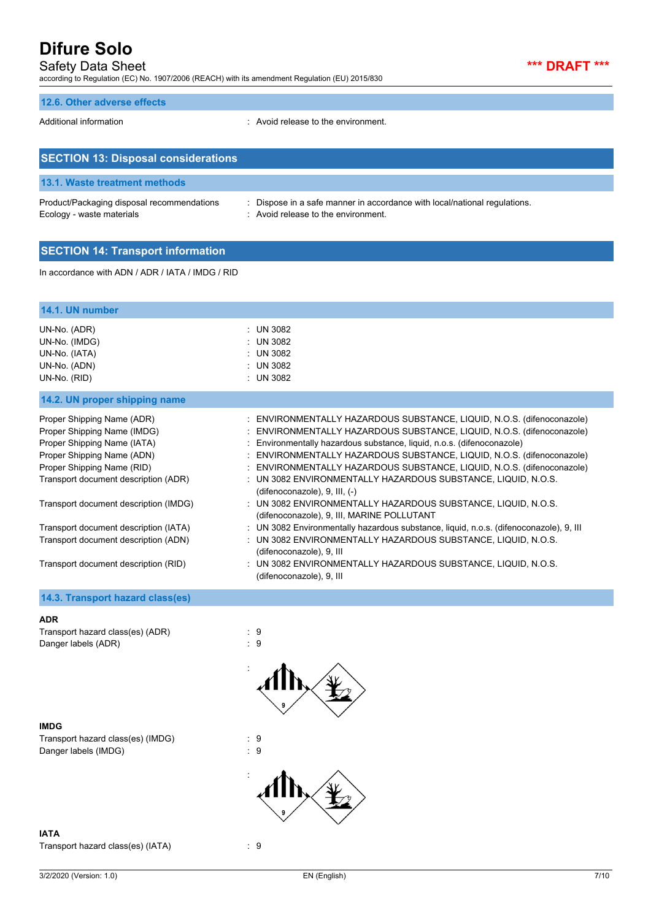# Safety Data Sheet **\*\*\* DRAFT \*\*\***

according to Regulation (EC) No. 1907/2006 (REACH) with its amendment Regulation (EU) 2015/830

### **12.6. Other adverse effects**

Additional information **interval information** : Avoid release to the environment.

| <b>SECTION 13: Disposal considerations</b>                              |                                                                                                                  |
|-------------------------------------------------------------------------|------------------------------------------------------------------------------------------------------------------|
| 13.1. Waste treatment methods                                           |                                                                                                                  |
| Product/Packaging disposal recommendations<br>Ecology - waste materials | : Dispose in a safe manner in accordance with local/national regulations.<br>: Avoid release to the environment. |

## **SECTION 14: Transport information**

In accordance with ADN / ADR / IATA / IMDG / RID

| 14.1. UN number                                                                                                                                                                              |                                                                                                                                                                                                                                                                                                                                                                                                                                                                                       |
|----------------------------------------------------------------------------------------------------------------------------------------------------------------------------------------------|---------------------------------------------------------------------------------------------------------------------------------------------------------------------------------------------------------------------------------------------------------------------------------------------------------------------------------------------------------------------------------------------------------------------------------------------------------------------------------------|
| UN-No. (ADR)<br>UN-No. (IMDG)<br>UN-No. (IATA)<br>UN-No. (ADN)<br>UN-No. (RID)                                                                                                               | : UN 3082<br>: UN 3082<br>: UN 3082<br>: UN 3082<br>: UN 3082                                                                                                                                                                                                                                                                                                                                                                                                                         |
| 14.2. UN proper shipping name                                                                                                                                                                |                                                                                                                                                                                                                                                                                                                                                                                                                                                                                       |
| Proper Shipping Name (ADR)<br>Proper Shipping Name (IMDG)<br>Proper Shipping Name (IATA)<br>Proper Shipping Name (ADN)<br>Proper Shipping Name (RID)<br>Transport document description (ADR) | : ENVIRONMENTALLY HAZARDOUS SUBSTANCE, LIQUID, N.O.S. (difenoconazole)<br>: ENVIRONMENTALLY HAZARDOUS SUBSTANCE, LIQUID, N.O.S. (difenoconazole)<br>: Environmentally hazardous substance, liquid, n.o.s. (difenoconazole)<br>: ENVIRONMENTALLY HAZARDOUS SUBSTANCE, LIQUID, N.O.S. (difenoconazole)<br>: ENVIRONMENTALLY HAZARDOUS SUBSTANCE, LIQUID, N.O.S. (difenoconazole)<br>: UN 3082 ENVIRONMENTALLY HAZARDOUS SUBSTANCE, LIQUID, N.O.S.<br>(difenoconazole), $9$ , III, $(-)$ |
| Transport document description (IMDG)                                                                                                                                                        | : UN 3082 ENVIRONMENTALLY HAZARDOUS SUBSTANCE, LIQUID, N.O.S.<br>(difenoconazole), 9, III, MARINE POLLUTANT                                                                                                                                                                                                                                                                                                                                                                           |
| Transport document description (IATA)                                                                                                                                                        | : UN 3082 Environmentally hazardous substance, liquid, n.o.s. (difenoconazole), 9, III                                                                                                                                                                                                                                                                                                                                                                                                |
| Transport document description (ADN)                                                                                                                                                         | : UN 3082 ENVIRONMENTALLY HAZARDOUS SUBSTANCE, LIQUID, N.O.S.<br>(difenoconazole), 9, III                                                                                                                                                                                                                                                                                                                                                                                             |
| Transport document description (RID)                                                                                                                                                         | : UN 3082 ENVIRONMENTALLY HAZARDOUS SUBSTANCE, LIQUID, N.O.S.<br>(difenoconazole), 9, III                                                                                                                                                                                                                                                                                                                                                                                             |

### **14.3. Transport hazard class(es)**

#### **ADR**

Transport hazard class(es) (ADR) : 9 Danger labels (ADR) 32 and 20 and 20 and 20 and 20 and 20 and 20 and 20 and 20 and 20 and 20 and 20 and 20 and 20 and 20 and 20 and 20 and 20 and 20 and 20 and 20 and 20 and 20 and 20 and 20 and 20 and 20 and 20 and 20 and

**IMDG** Transport hazard class(es) (IMDG) : 9<br>Danger labels (IMDG) : 9 Danger labels (IMDG)

**IATA** Transport hazard class(es) (IATA) : 9

:

: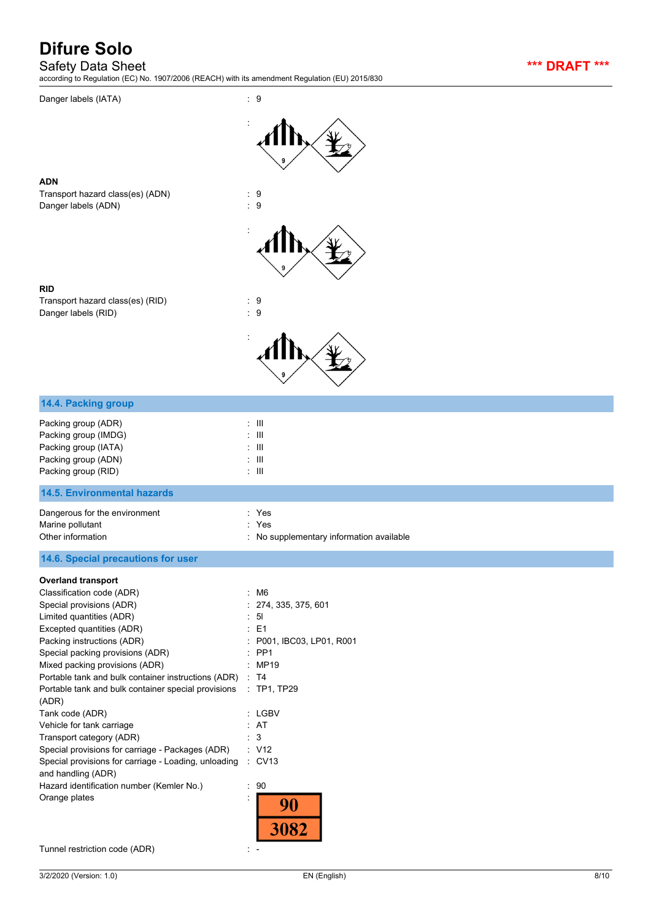Safety Data Sheet **\*\*\* DRAFT \*\*\***

according to Regulation (EC) No. 1907/2006 (REACH) with its amendment Regulation (EU) 2015/830

Danger labels (IATA) : 9



**ADN**

Transport hazard class(es) (ADN) : 9 Danger labels (ADN) : 9



**RID** Transport hazard class(es) (RID) : 9 Danger labels (RID) : 9



| 14.4. Packing group                                                                                                                                                                                                                                                                                                                                                                                                                                                                                                                                                                                                                                |                                                                                                                                                                                                                    |
|----------------------------------------------------------------------------------------------------------------------------------------------------------------------------------------------------------------------------------------------------------------------------------------------------------------------------------------------------------------------------------------------------------------------------------------------------------------------------------------------------------------------------------------------------------------------------------------------------------------------------------------------------|--------------------------------------------------------------------------------------------------------------------------------------------------------------------------------------------------------------------|
| Packing group (ADR)<br>Packing group (IMDG)<br>Packing group (IATA)<br>Packing group (ADN)<br>Packing group (RID)                                                                                                                                                                                                                                                                                                                                                                                                                                                                                                                                  | $\pm$ 111<br>$\pm$ 111<br>$\pm$ 111<br>$\pm$ 111<br>$\pm$ 111                                                                                                                                                      |
| <b>14.5. Environmental hazards</b>                                                                                                                                                                                                                                                                                                                                                                                                                                                                                                                                                                                                                 |                                                                                                                                                                                                                    |
| Dangerous for the environment<br>Marine pollutant<br>Other information                                                                                                                                                                                                                                                                                                                                                                                                                                                                                                                                                                             | : Yes<br>÷.<br>Yes<br>: No supplementary information available                                                                                                                                                     |
| 14.6. Special precautions for user                                                                                                                                                                                                                                                                                                                                                                                                                                                                                                                                                                                                                 |                                                                                                                                                                                                                    |
| <b>Overland transport</b><br>Classification code (ADR)<br>Special provisions (ADR)<br>Limited quantities (ADR)<br>Excepted quantities (ADR)<br>Packing instructions (ADR)<br>Special packing provisions (ADR)<br>Mixed packing provisions (ADR)<br>Portable tank and bulk container instructions (ADR)<br>Portable tank and bulk container special provisions<br>(ADR)<br>Tank code (ADR)<br>Vehicle for tank carriage<br>Transport category (ADR)<br>Special provisions for carriage - Packages (ADR)<br>Special provisions for carriage - Loading, unloading<br>and handling (ADR)<br>Hazard identification number (Kemler No.)<br>Orange plates | : M6<br>274, 335, 375, 601<br>5 <sub>l</sub><br>E <sub>1</sub><br>P001, IBC03, LP01, R001<br>PP <sub>1</sub><br>: MP19<br>: T4<br>$:$ TP1, TP29<br>: LGBV<br>: AT<br>3<br>: V12<br>$\therefore$ CV13<br>: 90<br>90 |

Tunnel restriction code (ADR)  $\qquad \qquad : -$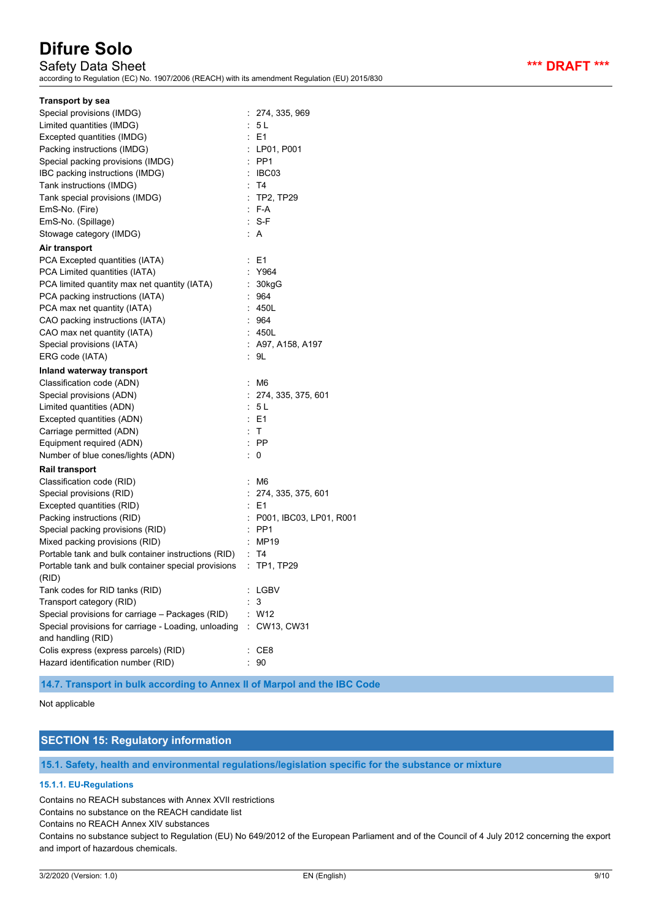Safety Data Sheet **\*\*\* DRAFT \*\*\*** alation (EU) 2015/830

| according to Regulation (EC) No. 1907/2006 (REACH) with its amendment Regulation (EU) 20 |                           |
|------------------------------------------------------------------------------------------|---------------------------|
| <b>Transport by sea</b>                                                                  |                           |
| Special provisions (IMDG)                                                                | : 274, 335, 969           |
| Limited quantities (IMDG)                                                                | : 5 L                     |
| Excepted quantities (IMDG)                                                               | $\therefore$ E1           |
| Packing instructions (IMDG)                                                              | : LPO1, PO01              |
| Special packing provisions (IMDG)                                                        | $:$ PP1                   |
| IBC packing instructions (IMDG)                                                          | : IBC03                   |
| Tank instructions (IMDG)                                                                 | : T4                      |
| Tank special provisions (IMDG)                                                           | : TP2, TP29               |
| EmS-No. (Fire)                                                                           | $: F-A$                   |
| EmS-No. (Spillage)                                                                       | $: S-F$                   |
| Stowage category (IMDG)                                                                  | : A                       |
| Air transport                                                                            |                           |
| PCA Excepted quantities (IATA)                                                           | $E = 1$                   |
| PCA Limited quantities (IATA)                                                            | : Y964                    |
| PCA limited quantity max net quantity (IATA)                                             | 30kgG                     |
| PCA packing instructions (IATA)                                                          | 964                       |
| PCA max net quantity (IATA)                                                              | : 450L                    |
| CAO packing instructions (IATA)                                                          | : 964                     |
| CAO max net quantity (IATA)                                                              | : 450L                    |
| Special provisions (IATA)                                                                | : A97, A158, A197         |
| ERG code (IATA)                                                                          | : 9L                      |
| Inland waterway transport                                                                |                           |
| Classification code (ADN)                                                                | : M6                      |
| Special provisions (ADN)                                                                 | : 274, 335, 375, 601      |
| Limited quantities (ADN)                                                                 | : 5 L                     |
| Excepted quantities (ADN)                                                                | : E1                      |
| Carriage permitted (ADN)                                                                 | : T                       |
| Equipment required (ADN)                                                                 | $:$ PP                    |
| Number of blue cones/lights (ADN)                                                        | : 0                       |
| <b>Rail transport</b>                                                                    |                           |
| Classification code (RID)                                                                | : M6                      |
| Special provisions (RID)                                                                 | : 274, 335, 375, 601      |
| Excepted quantities (RID)                                                                | : E1                      |
| Packing instructions (RID)                                                               | : P001, IBC03, LP01, R001 |
| Special packing provisions (RID)                                                         | $:$ PP1                   |
| Mixed packing provisions (RID)                                                           | $\therefore$ MP19         |
| Portable tank and bulk container instructions (RID) : T4                                 |                           |
| Portable tank and bulk container special provisions : TP1, TP29                          |                           |
| (RID)                                                                                    |                           |

| (RID)                                                                      |              |
|----------------------------------------------------------------------------|--------------|
| Tank codes for RID tanks (RID)                                             | : LGBV       |
| Transport category (RID)                                                   | : 3          |
| Special provisions for carriage - Packages (RID)                           | : W12        |
| Special provisions for carriage - Loading, unloading<br>and handling (RID) | : CW13, CW31 |
| Colis express (express parcels) (RID)                                      | : CE8        |
| Hazard identification number (RID)                                         | : 90         |

### **14.7. Transport in bulk according to Annex II of Marpol and the IBC Code**

#### Not applicable

# **SECTION 15: Regulatory information**

**15.1. Safety, health and environmental regulations/legislation specific for the substance or mixture**

#### **15.1.1. EU-Regulations**

Contains no REACH substances with Annex XVII restrictions

Contains no substance on the REACH candidate list

Contains no REACH Annex XIV substances

Contains no substance subject to Regulation (EU) No 649/2012 of the European Parliament and of the Council of 4 July 2012 concerning the export and import of hazardous chemicals.